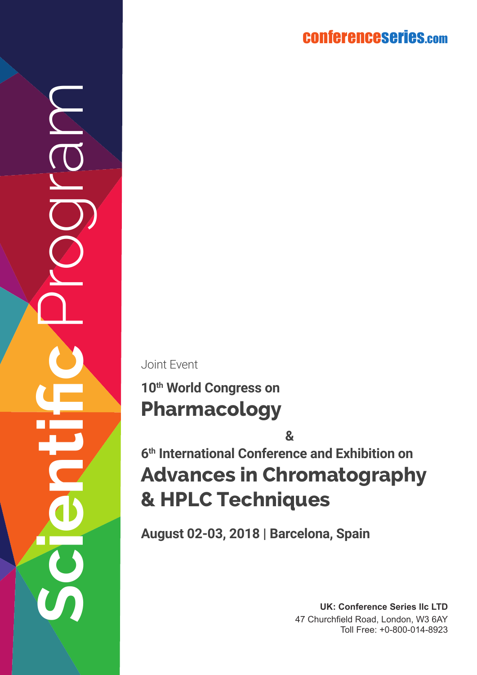conferenceserie s.co m

Joint Event

**Scientific** Program

## **Pharmacology 10th World Congress on**

**Advances in Chromatography Advances in Chromatograph<br><b>8.** HPLC Techniques<br>**8. HPLC Techniques &**

**August 02-03, 2018 | Barcelona, Spain**

**UK: Conference Series llc LTD** 47 Churchfield Road, London, W3 6AY Toll Free: +0-800-014-8923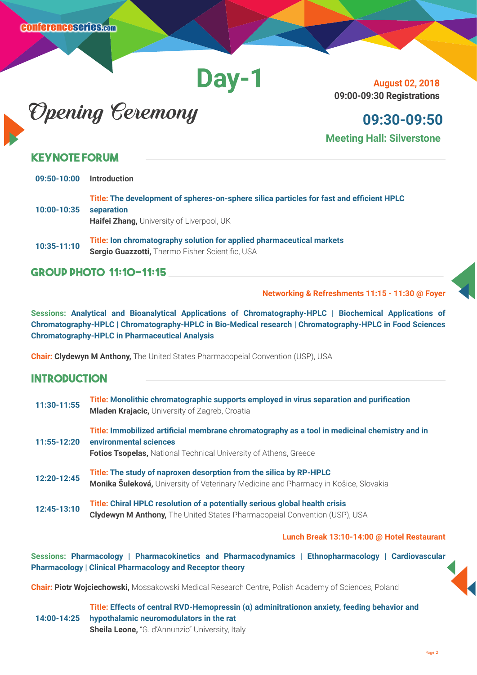# **Day-1**



**August 02, 2018 09:00-09:30 Registrations**

**09:30-09:50 Meeting Hall: Silverstone**

#### **Keynote Forum**

| 09:50-10:00 | <b>Introduction</b>                                                                                                                                 |
|-------------|-----------------------------------------------------------------------------------------------------------------------------------------------------|
| 10:00-10:35 | Title: The development of spheres-on-sphere silica particles for fast and efficient HPLC<br>separation<br>Haifei Zhang, University of Liverpool, UK |
| 10:35-11:10 | Title: Ion chromatography solution for applied pharmaceutical markets<br>Sergio Guazzotti, Thermo Fisher Scientific, USA                            |

**Group Photo 11:10-11:15** 

**Networking & Refreshments 11:15 - 11:30 @ Foyer** 

**Sessions: Analytical and Bioanalytical Applications of Chromatography-HPLC | Biochemical Applications of Chromatography-HPLC | Chromatography-HPLC in Bio-Medical research | Chromatography-HPLC in Food Sciences Chromatography-HPLC in Pharmaceutical Analysis**

**Chair: Clydewyn M Anthony,** The United States Pharmacopeial Convention (USP), USA

#### **Introduction**

| 11:30-11:55 | Title: Monolithic chromatographic supports employed in virus separation and purification<br>Mladen Krajacic, University of Zagreb, Croatia                                                         |
|-------------|----------------------------------------------------------------------------------------------------------------------------------------------------------------------------------------------------|
| 11:55-12:20 | Title: Immobilized artificial membrane chromatography as a tool in medicinal chemistry and in<br>environmental sciences<br><b>Fotios Tsopelas, National Technical University of Athens, Greece</b> |
| 12:20-12:45 | Title: The study of naproxen desorption from the silica by RP-HPLC<br>Monika Šuleková, University of Veterinary Medicine and Pharmacy in Košice, Slovakia                                          |
| 12:45-13:10 | Title: Chiral HPLC resolution of a potentially serious global health crisis<br>Clydewyn M Anthony, The United States Pharmacopeial Convention (USP), USA                                           |

#### **Lunch Break 13:10-14:00 @ Hotel Restaurant**

**Sessions: Pharmacology | Pharmacokinetics and Pharmacodynamics | Ethnopharmacology | Cardiovascular Pharmacology | Clinical Pharmacology and Receptor theory**

**Chair: Piotr Wojciechowski,** Mossakowski Medical Research Centre, Polish Academy of Sciences, Poland

**14:00-14:25 Title: Effects of central RVD-Hemopressin (α) adminitrationon anxiety, feeding behavior and hypothalamic neuromodulators in the rat Sheila Leone,** "G. d'Annunzio" University, Italy

Page 2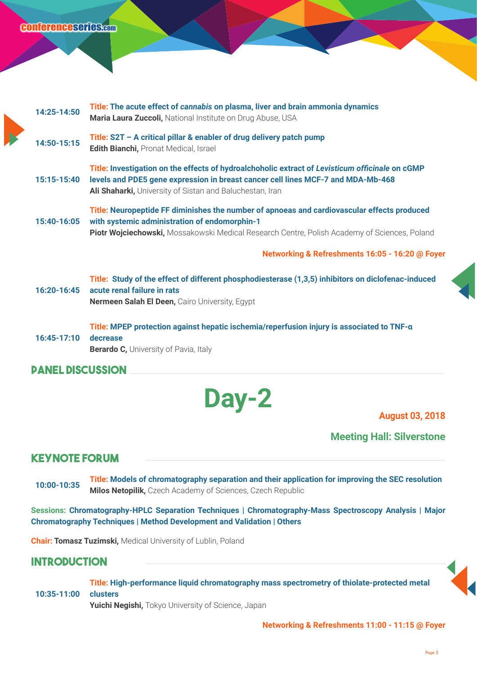#### conference series.com

| 14:25-14:50             | Title: The acute effect of cannabis on plasma, liver and brain ammonia dynamics<br>Maria Laura Zuccoli, National Institute on Drug Abuse, USA                                                                                                   |
|-------------------------|-------------------------------------------------------------------------------------------------------------------------------------------------------------------------------------------------------------------------------------------------|
| 14:50-15:15             | Title: S2T - A critical pillar & enabler of drug delivery patch pump<br>Edith Bianchi, Pronat Medical, Israel                                                                                                                                   |
| 15:15-15:40             | Title: Investigation on the effects of hydroalchoholic extract of Levisticum officinale on cGMP<br>levels and PDE5 gene expression in breast cancer cell lines MCF-7 and MDA-Mb-468<br>Ali Shaharki, University of Sistan and Baluchestan, Iran |
| 15:40-16:05             | Title: Neuropeptide FF diminishes the number of apnoeas and cardiovascular effects produced<br>with systemic administration of endomorphin-1<br>Piotr Wojciechowski, Mossakowski Medical Research Centre, Polish Academy of Sciences, Poland    |
|                         | Networking & Refreshments 16:05 - 16:20 @ Foyer                                                                                                                                                                                                 |
| $16:20-16:45$           | Title: Study of the effect of different phosphodiesterase (1,3,5) inhibitors on diclofenac-induced<br>acute renal failure in rats<br>Nermeen Salah El Deen, Cairo University, Egypt                                                             |
| 16:45-17:10             | Title: MPEP protection against hepatic ischemia/reperfusion injury is associated to TNF-a<br>decrease<br><b>Berardo C, University of Pavia, Italy</b>                                                                                           |
| <b>PANEL DISCUSSION</b> |                                                                                                                                                                                                                                                 |
|                         |                                                                                                                                                                                                                                                 |



**Meeting Hall: Silverstone**

#### **Keynote Forum**

**10:00-10:35 Title: Models of chromatography separation and their application for improving the SEC resolution Milos Netopilik,** Czech Academy of Sciences, Czech Republic

**Sessions: Chromatography-HPLC Separation Techniques | Chromatography-Mass Spectroscopy Analysis | Major Chromatography Techniques | Method Development and Validation | Others**

**Chair: Tomasz Tuzimski,** Medical University of Lublin, Poland

#### **Introduction**

**10:35-11:00 Title: High-performance liquid chromatography mass spectrometry of thiolate-protected metal clusters Yuichi Negishi,** Tokyo University of Science, Japan



**Networking & Refreshments 11:00 - 11:15 @ Foyer**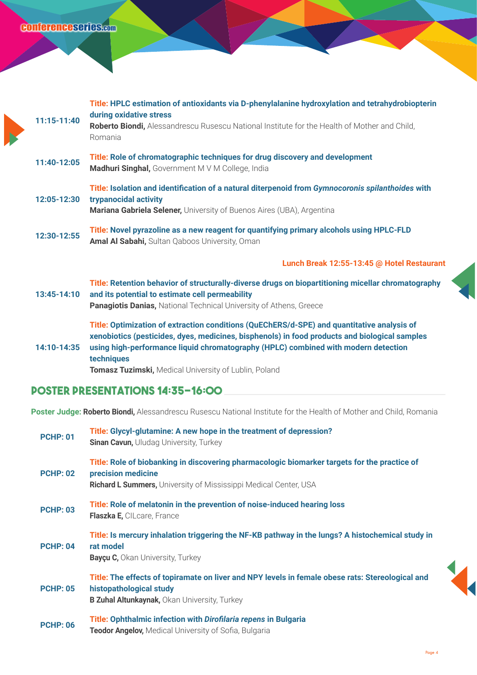| 11:15-11:40 | Title: HPLC estimation of antioxidants via D-phenylalanine hydroxylation and tetrahydrobiopterin<br>during oxidative stress<br>Roberto Biondi, Alessandrescu Rusescu National Institute for the Health of Mother and Child,<br>Romania                                                                                                                   |
|-------------|----------------------------------------------------------------------------------------------------------------------------------------------------------------------------------------------------------------------------------------------------------------------------------------------------------------------------------------------------------|
| 11:40-12:05 | Title: Role of chromatographic techniques for drug discovery and development<br>Madhuri Singhal, Government M V M College, India                                                                                                                                                                                                                         |
| 12:05-12:30 | Title: Isolation and identification of a natural diterpenoid from Gymnocoronis spilanthoides with<br>trypanocidal activity<br>Mariana Gabriela Selener, University of Buenos Aires (UBA), Argentina                                                                                                                                                      |
| 12:30-12:55 | Title: Novel pyrazoline as a new reagent for quantifying primary alcohols using HPLC-FLD<br>Amal Al Sabahi, Sultan Qaboos University, Oman                                                                                                                                                                                                               |
|             | Lunch Break 12:55-13:45 @ Hotel Restaurant                                                                                                                                                                                                                                                                                                               |
| 13:45-14:10 | Title: Retention behavior of structurally-diverse drugs on biopartitioning micellar chromatography<br>and its potential to estimate cell permeability<br>Panagiotis Danias, National Technical University of Athens, Greece                                                                                                                              |
| 14:10-14:35 | Title: Optimization of extraction conditions (QuEChERS/d-SPE) and quantitative analysis of<br>xenobiotics (pesticides, dyes, medicines, bisphenols) in food products and biological samples<br>using high-performance liquid chromatography (HPLC) combined with modern detection<br>techniques<br>Tomasz Tuzimski, Medical University of Lublin, Poland |

#### **Poster Presentations 14:35-16:00**

**Poster Judge: Roberto Biondi,** Alessandrescu Rusescu National Institute for the Health of Mother and Child, Romania

| <b>PCHP: 01</b> | Title: Glycyl-glutamine: A new hope in the treatment of depression?<br>Sinan Cavun, Uludag University, Turkey                                                                                 |
|-----------------|-----------------------------------------------------------------------------------------------------------------------------------------------------------------------------------------------|
| <b>PCHP: 02</b> | Title: Role of biobanking in discovering pharmacologic biomarker targets for the practice of<br>precision medicine<br><b>Richard L Summers, University of Mississippi Medical Center, USA</b> |
| <b>PCHP: 03</b> | Title: Role of melatonin in the prevention of noise-induced hearing loss<br>Flaszka E, CILcare, France                                                                                        |
| <b>PCHP: 04</b> | Title: Is mercury inhalation triggering the NF-KB pathway in the lungs? A histochemical study in<br>rat model<br><b>Bayçu C, Okan University, Turkey</b>                                      |
| <b>PCHP: 05</b> | Title: The effects of topiramate on liver and NPY levels in female obese rats: Stereological and<br>histopathological study<br><b>B Zuhal Altunkaynak, Okan University, Turkey</b>            |
| <b>PCHP: 06</b> | Title: Ophthalmic infection with Dirofilaria repens in Bulgaria<br>Teodor Angelov, Medical University of Sofia, Bulgaria                                                                      |